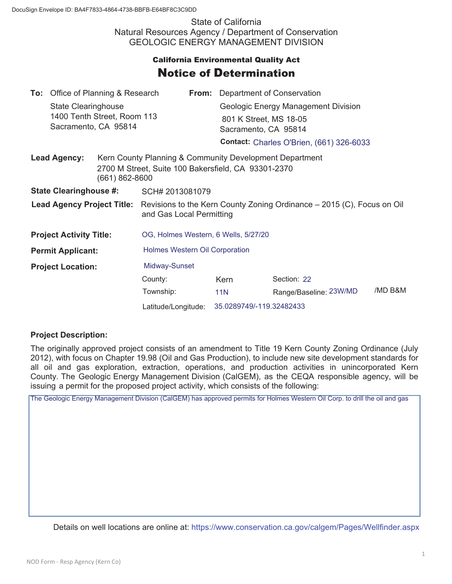State of California Natural Resources Agency / Department of Conservation GEOLOGIC ENERGY MANAGEMENT DIVISION

## **California Environmental Quality Act** Notice of Determination

|                                       | <b>To:</b> Office of Planning & Research                                   |  |                                                                                                                                      |  | <b>From:</b> Department of Conservation |                                                 |         |
|---------------------------------------|----------------------------------------------------------------------------|--|--------------------------------------------------------------------------------------------------------------------------------------|--|-----------------------------------------|-------------------------------------------------|---------|
|                                       | State Clearinghouse<br>1400 Tenth Street, Room 113<br>Sacramento, CA 95814 |  |                                                                                                                                      |  | Geologic Energy Management Division     |                                                 |         |
|                                       |                                                                            |  |                                                                                                                                      |  | 801 K Street, MS 18-05                  |                                                 |         |
|                                       |                                                                            |  |                                                                                                                                      |  | Sacramento, CA 95814                    |                                                 |         |
|                                       |                                                                            |  |                                                                                                                                      |  |                                         | <b>Contact: Charles O'Brien, (661) 326-6033</b> |         |
| <b>Lead Agency:</b><br>(661) 862-8600 |                                                                            |  | Kern County Planning & Community Development Department<br>2700 M Street, Suite 100 Bakersfield, CA 93301-2370                       |  |                                         |                                                 |         |
| <b>State Clearinghouse #:</b>         |                                                                            |  | SCH# 2013081079                                                                                                                      |  |                                         |                                                 |         |
|                                       |                                                                            |  | <b>Lead Agency Project Title:</b> Revisions to the Kern County Zoning Ordinance – 2015 (C), Focus on Oil<br>and Gas Local Permitting |  |                                         |                                                 |         |
| <b>Project Activity Title:</b>        |                                                                            |  | OG, Holmes Western, 6 Wells, 5/27/20                                                                                                 |  |                                         |                                                 |         |
| <b>Permit Applicant:</b>              |                                                                            |  | <b>Holmes Western Oil Corporation</b>                                                                                                |  |                                         |                                                 |         |
| <b>Project Location:</b>              |                                                                            |  | Midway-Sunset                                                                                                                        |  |                                         |                                                 |         |
|                                       |                                                                            |  | County:                                                                                                                              |  | Kern                                    | Section: 22                                     |         |
|                                       |                                                                            |  | Township:                                                                                                                            |  | <b>11N</b>                              | Range/Baseline: 23W/MD                          | /MD B&M |
|                                       |                                                                            |  | Latitude/Longitude:                                                                                                                  |  | 35.0289749/-119.32482433                |                                                 |         |

## **Project Description:**

The originally approved project consists of an amendment to Title 19 Kern County Zoning Ordinance (July 2012), with focus on Chapter 19.98 (Oil and Gas Production), to include new site development standards for all oil and gas exploration, extraction, operations, and production activities in unincorporated Kern County. The Geologic Energy Management Division (CalGEM), as the CEQA responsible agency, will be issuing a permit for the proposed project activity, which consists of the following:

The Geologic Energy Management Division (CalGEM) has approved permits for Holmes Western Oil Corp. to drill the oil and gas

Details on well locations are online at: https://www.conservation.ca.gov/calgem/Pages/Wellfinder.aspx